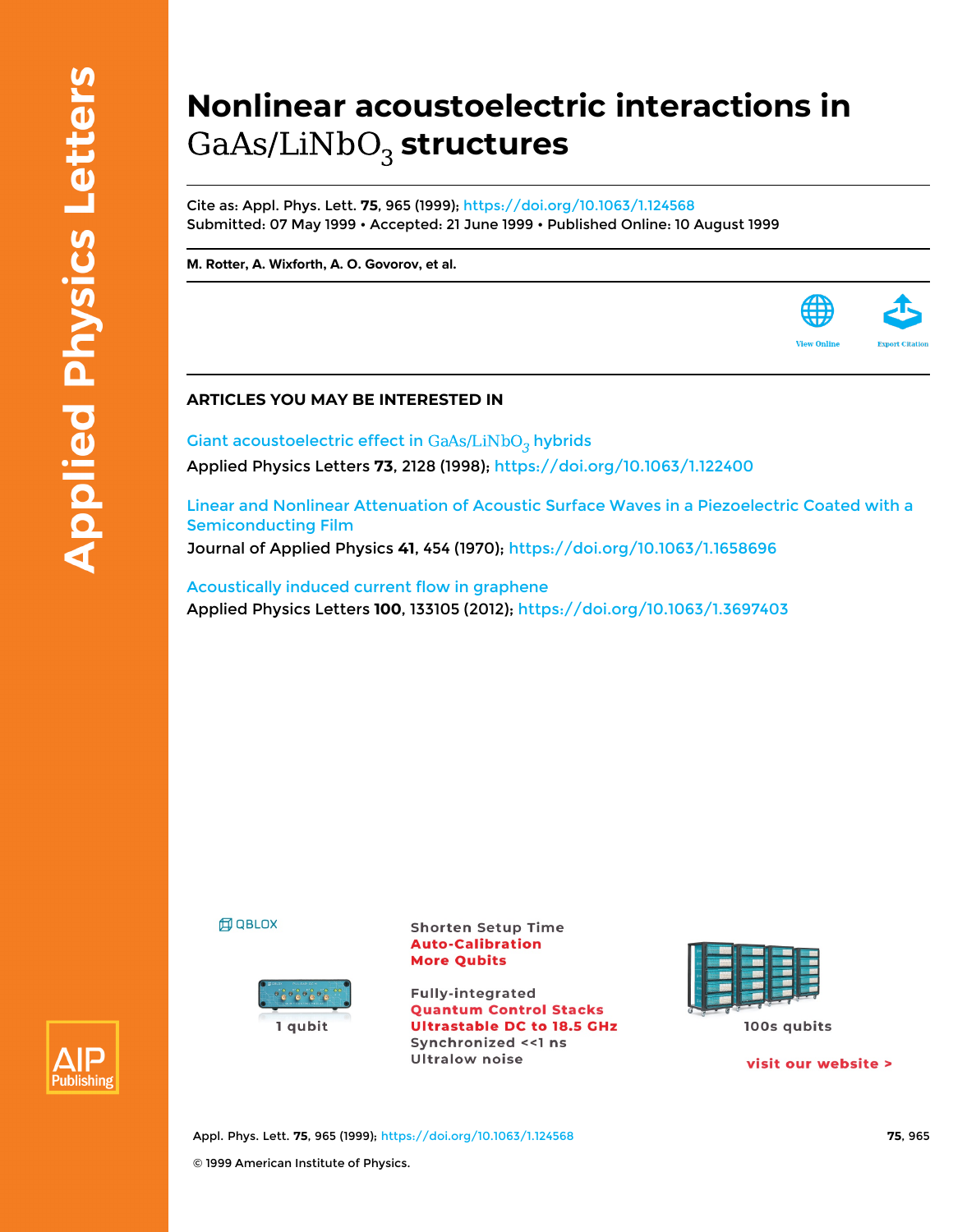## **Nonlinear acoustoelectric interactions in** GaAs/LiNbO<sub>3</sub> structures

Cite as: Appl. Phys. Lett. **75**, 965 (1999); <https://doi.org/10.1063/1.124568> Submitted: 07 May 1999 • Accepted: 21 June 1999 • Published Online: 10 August 1999

**[M. Rotter,](https://aip.scitation.org/author/Rotter%2C+M) [A. Wixforth,](https://aip.scitation.org/author/Wixforth%2C+A) [A. O. Govorov](https://aip.scitation.org/author/Govorov%2C+A+O), et al.**



Giant acoustoelectric effect in  $GaAs/LiNbO<sub>3</sub>$  hybrids Applied Physics Letters **73**, 2128 (1998); <https://doi.org/10.1063/1.122400>

[Linear and Nonlinear Attenuation of Acoustic Surface Waves in a Piezoelectric Coated with a](https://aip.scitation.org/doi/10.1063/1.1658696) [Semiconducting Film](https://aip.scitation.org/doi/10.1063/1.1658696)

Journal of Applied Physics **41**, 454 (1970); <https://doi.org/10.1063/1.1658696>

[Acoustically induced current flow in graphene](https://aip.scitation.org/doi/10.1063/1.3697403) Applied Physics Letters **100**, 133105 (2012); <https://doi.org/10.1063/1.3697403>

**印 QBLOX** 



**Shorten Setup Time Auto-Calibration More Qubits** 

**Fully-integrated Quantum Control Stacks Ultrastable DC to 18.5 GHz** Synchronized << 1 ns **Ultralow noise** 



visit our website >

View Onlin



Appl. Phys. Lett. **75**, 965 (1999); <https://doi.org/10.1063/1.124568> **75**, 965 © 1999 American Institute of Physics.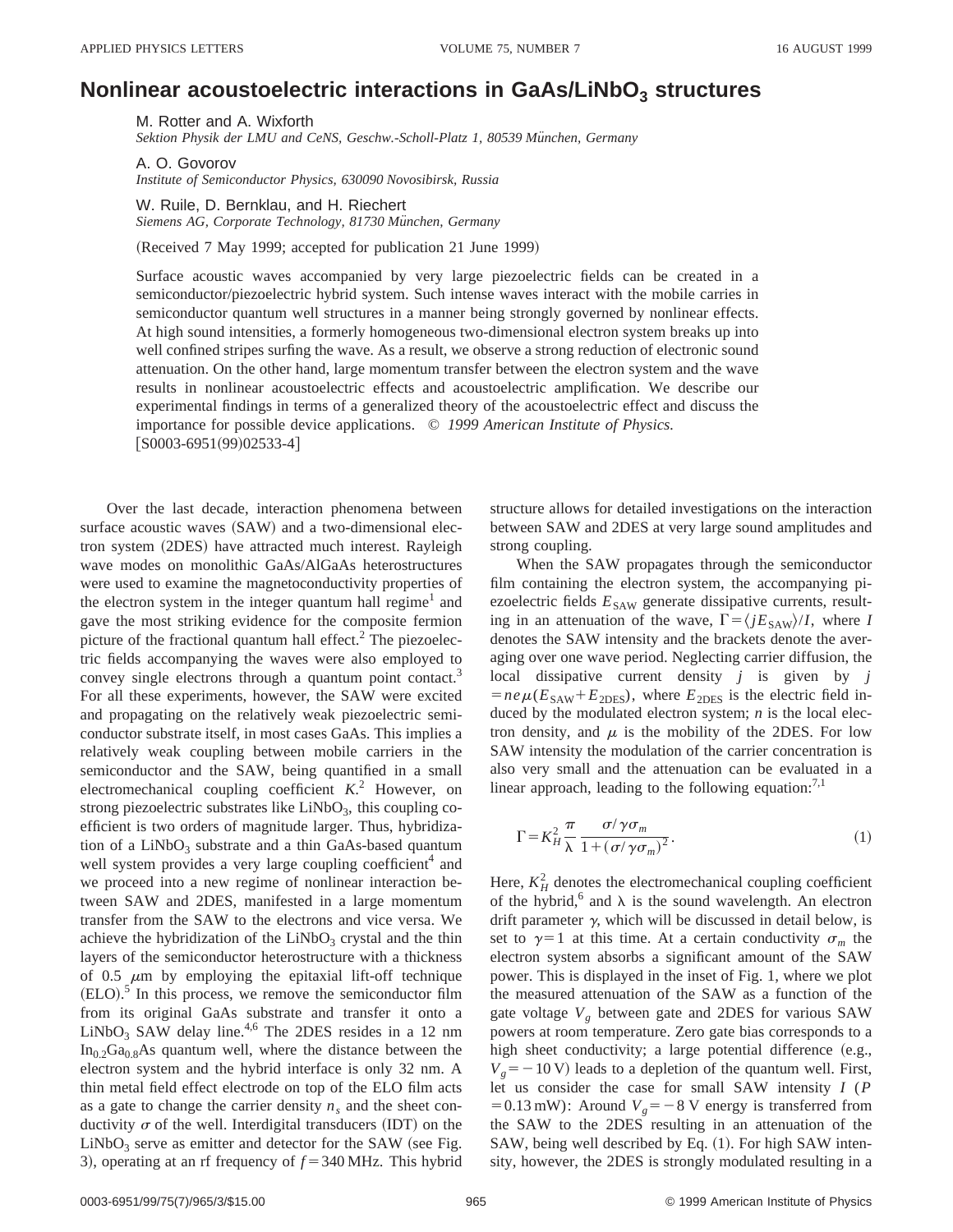## **Nonlinear acoustoelectric interactions in GaAs/LiNbO**<sub>3</sub> structures

M. Rotter and A. Wixforth *Sektion Physik der LMU and CeNS, Geschw.-Scholl-Platz 1, 80539 Mu¨nchen, Germany*

A. O. Govorov *Institute of Semiconductor Physics, 630090 Novosibirsk, Russia*

W. Ruile, D. Bernklau, and H. Riechert *Siemens AG, Corporate Technology, 81730 Mu¨nchen, Germany*

(Received 7 May 1999; accepted for publication 21 June 1999)

Surface acoustic waves accompanied by very large piezoelectric fields can be created in a semiconductor/piezoelectric hybrid system. Such intense waves interact with the mobile carries in semiconductor quantum well structures in a manner being strongly governed by nonlinear effects. At high sound intensities, a formerly homogeneous two-dimensional electron system breaks up into well confined stripes surfing the wave. As a result, we observe a strong reduction of electronic sound attenuation. On the other hand, large momentum transfer between the electron system and the wave results in nonlinear acoustoelectric effects and acoustoelectric amplification. We describe our experimental findings in terms of a generalized theory of the acoustoelectric effect and discuss the importance for possible device applications. © *1999 American Institute of Physics.*  $[50003-6951(99)02533-4]$ 

Over the last decade, interaction phenomena between surface acoustic waves  $(SAW)$  and a two-dimensional electron system (2DES) have attracted much interest. Rayleigh wave modes on monolithic GaAs/AlGaAs heterostructures were used to examine the magnetoconductivity properties of the electron system in the integer quantum hall regime<sup>1</sup> and gave the most striking evidence for the composite fermion picture of the fractional quantum hall effect. $<sup>2</sup>$  The piezoelec-</sup> tric fields accompanying the waves were also employed to convey single electrons through a quantum point contact.<sup>3</sup> For all these experiments, however, the SAW were excited and propagating on the relatively weak piezoelectric semiconductor substrate itself, in most cases GaAs. This implies a relatively weak coupling between mobile carriers in the semiconductor and the SAW, being quantified in a small electromechanical coupling coefficient *K*. <sup>2</sup> However, on strong piezoelectric substrates like  $LiNbO<sub>3</sub>$ , this coupling coefficient is two orders of magnitude larger. Thus, hybridization of a  $LiNbO<sub>3</sub>$  substrate and a thin GaAs-based quantum well system provides a very large coupling coefficient<sup>4</sup> and we proceed into a new regime of nonlinear interaction between SAW and 2DES, manifested in a large momentum transfer from the SAW to the electrons and vice versa. We achieve the hybridization of the  $LiNbO<sub>3</sub>$  crystal and the thin layers of the semiconductor heterostructure with a thickness of 0.5  $\mu$ m by employing the epitaxial lift-off technique  $(ELO).$ <sup>5</sup> In this process, we remove the semiconductor film from its original GaAs substrate and transfer it onto a  $LiNbO<sub>3</sub>$  SAW delay line.<sup>4,6</sup> The 2DES resides in a 12 nm  $In_0, Ga_0, A$ s quantum well, where the distance between the electron system and the hybrid interface is only 32 nm. A thin metal field effect electrode on top of the ELO film acts as a gate to change the carrier density  $n_s$  and the sheet conductivity  $\sigma$  of the well. Interdigital transducers (IDT) on the  $LiNbO<sub>3</sub>$  serve as emitter and detector for the SAW (see Fig. 3), operating at an rf frequency of  $f = 340$  MHz. This hybrid

structure allows for detailed investigations on the interaction between SAW and 2DES at very large sound amplitudes and strong coupling.

When the SAW propagates through the semiconductor film containing the electron system, the accompanying piezoelectric fields  $E_{SAW}$  generate dissipative currents, resulting in an attenuation of the wave,  $\Gamma = \langle jE_{SAW} \rangle / I$ , where *I* denotes the SAW intensity and the brackets denote the averaging over one wave period. Neglecting carrier diffusion, the local dissipative current density *j* is given by *j*  $=ne\mu(E_{SAW}+E_{2DES})$ , where  $E_{2DES}$  is the electric field induced by the modulated electron system; *n* is the local electron density, and  $\mu$  is the mobility of the 2DES. For low SAW intensity the modulation of the carrier concentration is also very small and the attenuation can be evaluated in a linear approach, leading to the following equation: $7,1$ 

$$
\Gamma = K_H^2 \frac{\pi}{\lambda} \frac{\sigma / \gamma \sigma_m}{1 + (\sigma / \gamma \sigma_m)^2}.
$$
\n(1)

Here,  $K_H^2$  denotes the electromechanical coupling coefficient of the hybrid,<sup>6</sup> and  $\lambda$  is the sound wavelength. An electron drift parameter  $\gamma$ , which will be discussed in detail below, is set to  $\gamma=1$  at this time. At a certain conductivity  $\sigma_m$  the electron system absorbs a significant amount of the SAW power. This is displayed in the inset of Fig. 1, where we plot the measured attenuation of the SAW as a function of the gate voltage  $V<sub>g</sub>$  between gate and 2DES for various SAW powers at room temperature. Zero gate bias corresponds to a high sheet conductivity; a large potential difference (e.g.,  $V<sub>g</sub>$ = -10 V) leads to a depletion of the quantum well. First, let us consider the case for small SAW intensity *I* (*P*  $=0.13$  mW): Around  $V_g = -8$  V energy is transferred from the SAW to the 2DES resulting in an attenuation of the SAW, being well described by Eq. (1). For high SAW intensity, however, the 2DES is strongly modulated resulting in a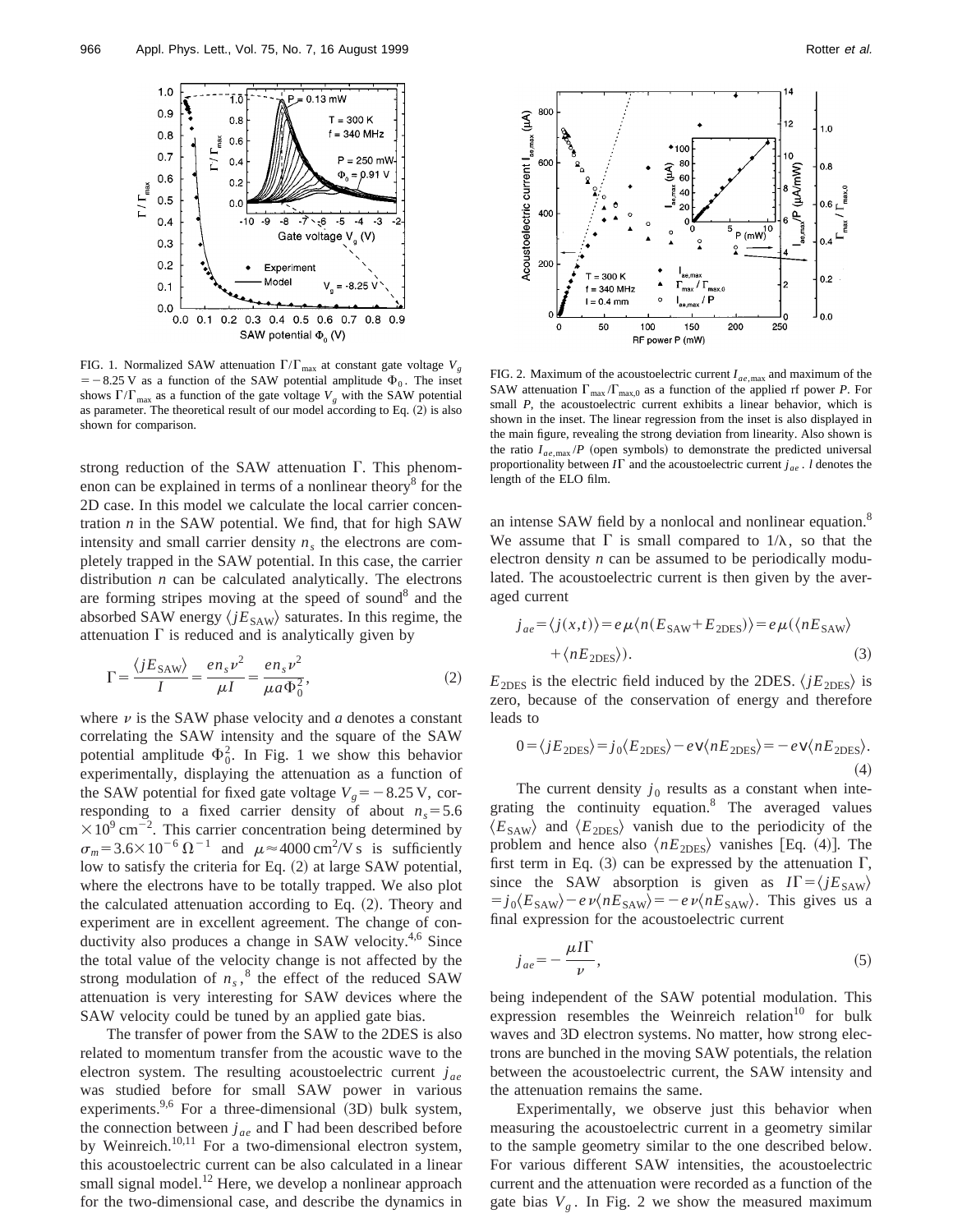

FIG. 1. Normalized SAW attenuation  $\Gamma/\Gamma_{\text{max}}$  at constant gate voltage  $V_g$  $=$  -8.25 V as a function of the SAW potential amplitude  $\Phi_0$ . The inset shows  $\Gamma/\Gamma_{\text{max}}$  as a function of the gate voltage  $V_g$  with the SAW potential as parameter. The theoretical result of our model according to Eq.  $(2)$  is also shown for comparison.

strong reduction of the SAW attenuation  $\Gamma$ . This phenomenon can be explained in terms of a nonlinear theory $\delta$  for the 2D case. In this model we calculate the local carrier concentration  $n$  in the SAW potential. We find, that for high SAW intensity and small carrier density  $n<sub>s</sub>$  the electrons are completely trapped in the SAW potential. In this case, the carrier distribution *n* can be calculated analytically. The electrons are forming stripes moving at the speed of sound $8$  and the absorbed SAW energy  $\langle jE_{SAW} \rangle$  saturates. In this regime, the attenuation  $\Gamma$  is reduced and is analytically given by

$$
\Gamma = \frac{\langle jE_{\text{SAW}}\rangle}{I} = \frac{en_s v^2}{\mu I} = \frac{en_s v^2}{\mu a \Phi_0^2},\tag{2}
$$

where  $\nu$  is the SAW phase velocity and  $a$  denotes a constant correlating the SAW intensity and the square of the SAW potential amplitude  $\Phi_0^2$ . In Fig. 1 we show this behavior experimentally, displaying the attenuation as a function of the SAW potential for fixed gate voltage  $V_g = -8.25$  V, corresponding to a fixed carrier density of about  $n_s = 5.6$  $\times 10^{9}$  cm<sup>-2</sup>. This carrier concentration being determined by  $\sigma_m$ = 3.6×10<sup>-6</sup>  $\Omega^{-1}$  and  $\mu \approx 4000 \text{ cm}^2/\text{V s}$  is sufficiently low to satisfy the criteria for Eq. (2) at large SAW potential, where the electrons have to be totally trapped. We also plot the calculated attenuation according to Eq.  $(2)$ . Theory and experiment are in excellent agreement. The change of conductivity also produces a change in SAW velocity.<sup>4,6</sup> Since the total value of the velocity change is not affected by the strong modulation of  $n_s$ ,<sup>8</sup> the effect of the reduced SAW attenuation is very interesting for SAW devices where the SAW velocity could be tuned by an applied gate bias.

The transfer of power from the SAW to the 2DES is also related to momentum transfer from the acoustic wave to the electron system. The resulting acoustoelectric current  $j_{ae}$ was studied before for small SAW power in various experiments.<sup>9,6</sup> For a three-dimensional  $(3D)$  bulk system, the connection between  $j_{ae}$  and  $\Gamma$  had been described before by Weinreich.<sup>10,11</sup> For a two-dimensional electron system, this acoustoelectric current can be also calculated in a linear small signal model.<sup>12</sup> Here, we develop a nonlinear approach for the two-dimensional case, and describe the dynamics in



FIG. 2. Maximum of the acoustoelectric current  $I_{ae, max}$  and maximum of the SAW attenuation  $\Gamma_{\text{max}} / \Gamma_{\text{max},0}$  as a function of the applied rf power *P*. For small *P*, the acoustoelectric current exhibits a linear behavior, which is shown in the inset. The linear regression from the inset is also displayed in the main figure, revealing the strong deviation from linearity. Also shown is the ratio  $I_{ae, max}$  /*P* (open symbols) to demonstrate the predicted universal proportionality between  $I\Gamma$  and the acoustoelectric current  $j_{ae}$ . *l* denotes the length of the ELO film.

an intense SAW field by a nonlocal and nonlinear equation.<sup>8</sup> We assume that  $\Gamma$  is small compared to  $1/\lambda$ , so that the electron density *n* can be assumed to be periodically modulated. The acoustoelectric current is then given by the averaged current

$$
j_{ae} = \langle j(x,t) \rangle = e\mu \langle n(E_{SAW} + E_{2DES}) \rangle = e\mu (\langle nE_{SAW} \rangle + \langle nE_{2DES} \rangle). \tag{3}
$$

 $E_{\text{2DES}}$  is the electric field induced by the 2DES.  $\langle jE_{\text{2DES}} \rangle$  is zero, because of the conservation of energy and therefore leads to

$$
0 = \langle jE_{\text{2DES}} \rangle = j_0 \langle E_{\text{2DES}} \rangle - e \, v \langle nE_{\text{2DES}} \rangle = -e \, v \langle nE_{\text{2DES}} \rangle. \tag{4}
$$

The current density  $j_0$  results as a constant when integrating the continuity equation.<sup>8</sup> The averaged values  $\langle E_{\text{SAW}}\rangle$  and  $\langle E_{\text{2DES}}\rangle$  vanish due to the periodicity of the problem and hence also  $\langle nE_{\text{2DES}} \rangle$  vanishes [Eq. (4)]. The first term in Eq. (3) can be expressed by the attenuation  $\Gamma$ , since the SAW absorption is given as  $I\Gamma = \langle jE_{SAW} \rangle$  $j_0 \langle E_{SAW} \rangle - e \nu \langle nE_{SAW} \rangle = -e \nu \langle nE_{SAW} \rangle$ . This gives us a final expression for the acoustoelectric current

$$
j_{ae} = -\frac{\mu I\Gamma}{\nu},\tag{5}
$$

being independent of the SAW potential modulation. This expression resembles the Weinreich relation $10$  for bulk waves and 3D electron systems. No matter, how strong electrons are bunched in the moving SAW potentials, the relation between the acoustoelectric current, the SAW intensity and the attenuation remains the same.

Experimentally, we observe just this behavior when measuring the acoustoelectric current in a geometry similar to the sample geometry similar to the one described below. For various different SAW intensities, the acoustoelectric current and the attenuation were recorded as a function of the gate bias  $V_g$ . In Fig. 2 we show the measured maximum